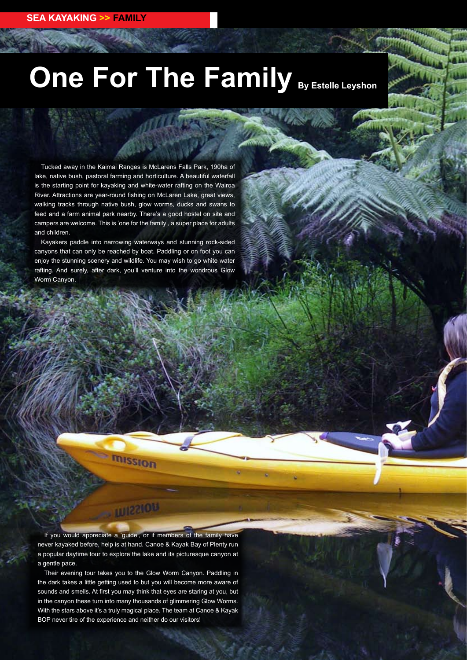## **One For The Family By Estelle Leyshon**

Tucked away in the Kaimai Ranges is McLarens Falls Park, 190ha of lake, native bush, pastoral farming and horticulture. A beautiful waterfall is the starting point for kayaking and white-water rafting on the Wairoa River. Attractions are year-round fishing on McLaren Lake, great views, walking tracks through native bush, glow worms, ducks and swans to feed and a farm animal park nearby. There's a good hostel on site and campers are welcome. This is 'one for the family', a super place for adults and children.

Kayakers paddle into narrowing waterways and stunning rock-sided canyons that can only be reached by boat. Paddling or on foot you can enjoy the stunning scenery and wildlife. You may wish to go white water rafting. And surely, after dark, you'll venture into the wondrous Glow Worm Canyon.

If you would appreciate a 'guide', or if members of the family have never kayaked before, help is at hand. Canoe & Kayak Bay of Plenty run a popular daytime tour to explore the lake and its picturesque canyon at a gentle pace.

111221014

mission

Their evening tour takes you to the Glow Worm Canyon. Paddling in the dark takes a little getting used to but you will become more aware of sounds and smells. At first you may think that eyes are staring at you, but in the canyon these turn into many thousands of glimmering Glow Worms. With the stars above it's a truly magical place. The team at Canoe & Kayak BOP never tire of the experience and neither do our visitors!

**1 0 ISSUE SIXTY Two • Spring 2011 www.kayaknz.co.nz**